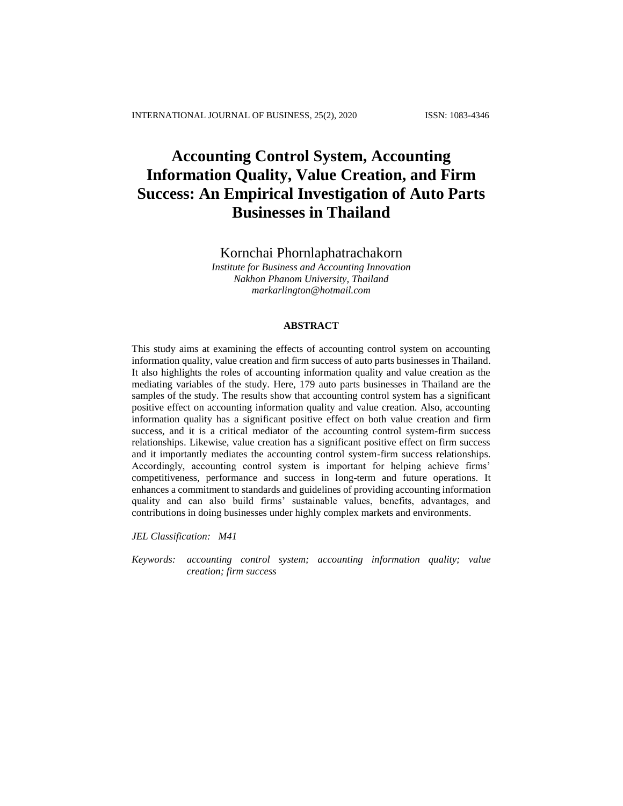# **Accounting Control System, Accounting Information Quality, Value Creation, and Firm Success: An Empirical Investigation of Auto Parts Businesses in Thailand**

Kornchai Phornlaphatrachakorn

*Institute for Business and Accounting Innovation Nakhon Phanom University, Thailand markarlington@hotmail.com*

# **ABSTRACT**

This study aims at examining the effects of accounting control system on accounting information quality, value creation and firm success of auto parts businesses in Thailand. It also highlights the roles of accounting information quality and value creation as the mediating variables of the study. Here, 179 auto parts businesses in Thailand are the samples of the study. The results show that accounting control system has a significant positive effect on accounting information quality and value creation. Also, accounting information quality has a significant positive effect on both value creation and firm success, and it is a critical mediator of the accounting control system-firm success relationships. Likewise, value creation has a significant positive effect on firm success and it importantly mediates the accounting control system-firm success relationships. Accordingly, accounting control system is important for helping achieve firms' competitiveness, performance and success in long-term and future operations. It enhances a commitment to standards and guidelines of providing accounting information quality and can also build firms' sustainable values, benefits, advantages, and contributions in doing businesses under highly complex markets and environments.

*JEL Classification: M41*

*Keywords: accounting control system; accounting information quality; value creation; firm success*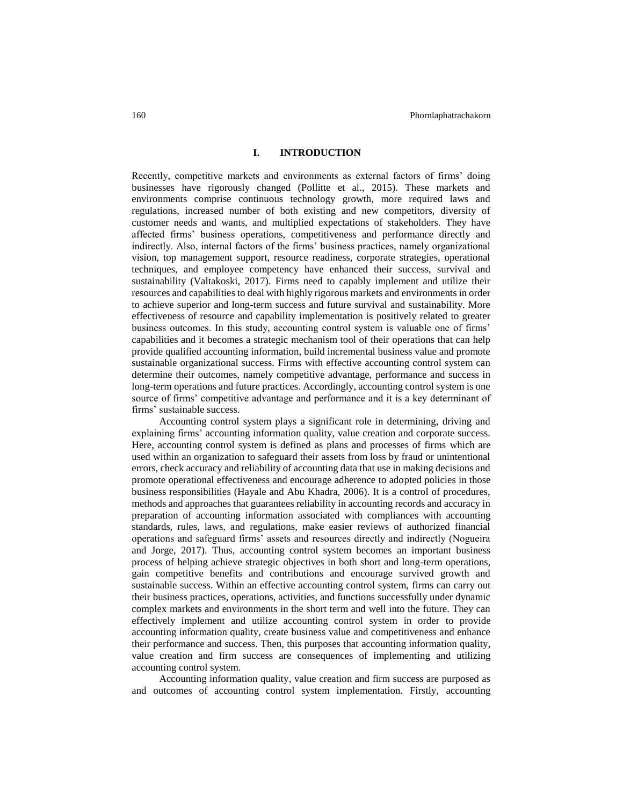# **I. INTRODUCTION**

Recently, competitive markets and environments as external factors of firms' doing businesses have rigorously changed (Pollitte et al., 2015). These markets and environments comprise continuous technology growth, more required laws and regulations, increased number of both existing and new competitors, diversity of customer needs and wants, and multiplied expectations of stakeholders. They have affected firms' business operations, competitiveness and performance directly and indirectly. Also, internal factors of the firms' business practices, namely organizational vision, top management support, resource readiness, corporate strategies, operational techniques, and employee competency have enhanced their success, survival and sustainability (Valtakoski, 2017). Firms need to capably implement and utilize their resources and capabilities to deal with highly rigorous markets and environments in order to achieve superior and long-term success and future survival and sustainability. More effectiveness of resource and capability implementation is positively related to greater business outcomes. In this study, accounting control system is valuable one of firms' capabilities and it becomes a strategic mechanism tool of their operations that can help provide qualified accounting information, build incremental business value and promote sustainable organizational success. Firms with effective accounting control system can determine their outcomes, namely competitive advantage, performance and success in long-term operations and future practices. Accordingly, accounting control system is one source of firms' competitive advantage and performance and it is a key determinant of firms' sustainable success.

Accounting control system plays a significant role in determining, driving and explaining firms' accounting information quality, value creation and corporate success. Here, accounting control system is defined as plans and processes of firms which are used within an organization to safeguard their assets from loss by fraud or unintentional errors, check accuracy and reliability of accounting data that use in making decisions and promote operational effectiveness and encourage adherence to adopted policies in those business responsibilities (Hayale and Abu Khadra, 2006). It is a control of procedures, methods and approaches that guarantees reliability in accounting records and accuracy in preparation of accounting information associated with compliances with accounting standards, rules, laws, and regulations, make easier reviews of authorized financial operations and safeguard firms' assets and resources directly and indirectly (Nogueira and Jorge, 2017). Thus, accounting control system becomes an important business process of helping achieve strategic objectives in both short and long-term operations, gain competitive benefits and contributions and encourage survived growth and sustainable success. Within an effective accounting control system, firms can carry out their business practices, operations, activities, and functions successfully under dynamic complex markets and environments in the short term and well into the future. They can effectively implement and utilize accounting control system in order to provide accounting information quality, create business value and competitiveness and enhance their performance and success. Then, this purposes that accounting information quality, value creation and firm success are consequences of implementing and utilizing accounting control system.

Accounting information quality, value creation and firm success are purposed as and outcomes of accounting control system implementation. Firstly, accounting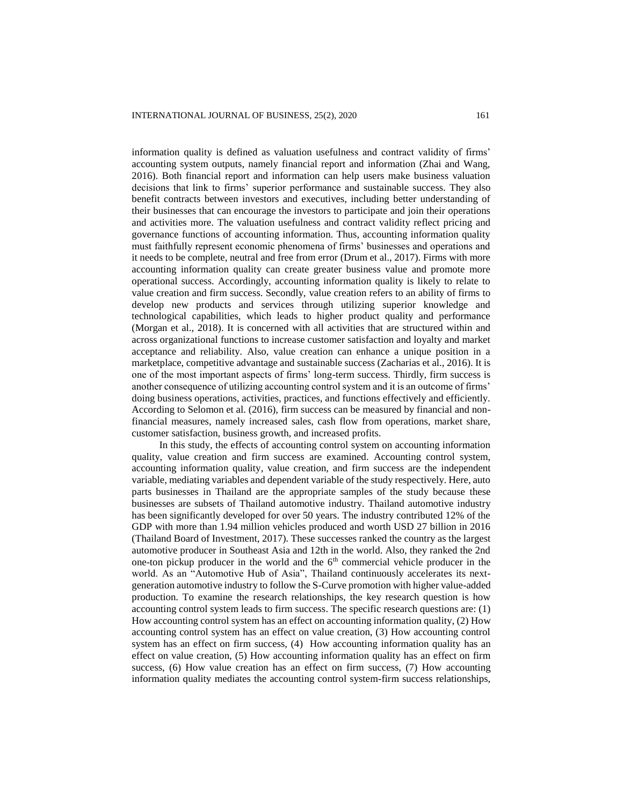information quality is defined as valuation usefulness and contract validity of firms' accounting system outputs, namely financial report and information (Zhai and Wang, 2016). Both financial report and information can help users make business valuation decisions that link to firms' superior performance and sustainable success. They also benefit contracts between investors and executives, including better understanding of their businesses that can encourage the investors to participate and join their operations and activities more. The valuation usefulness and contract validity reflect pricing and governance functions of accounting information. Thus, accounting information quality must faithfully represent economic phenomena of firms' businesses and operations and it needs to be complete, neutral and free from error (Drum et al., 2017). Firms with more accounting information quality can create greater business value and promote more operational success. Accordingly, accounting information quality is likely to relate to value creation and firm success. Secondly, value creation refers to an ability of firms to develop new products and services through utilizing superior knowledge and technological capabilities, which leads to higher product quality and performance (Morgan et al., 2018). It is concerned with all activities that are structured within and across organizational functions to increase customer satisfaction and loyalty and market acceptance and reliability. Also, value creation can enhance a unique position in a marketplace, competitive advantage and sustainable success (Zacharias et al., 2016). It is one of the most important aspects of firms' long-term success. Thirdly, firm success is another consequence of utilizing accounting control system and it is an outcome of firms' doing business operations, activities, practices, and functions effectively and efficiently. According to Selomon et al. (2016), firm success can be measured by financial and nonfinancial measures, namely increased sales, cash flow from operations, market share, customer satisfaction, business growth, and increased profits.

In this study, the effects of accounting control system on accounting information quality, value creation and firm success are examined. Accounting control system, accounting information quality, value creation, and firm success are the independent variable, mediating variables and dependent variable of the study respectively. Here, auto parts businesses in Thailand are the appropriate samples of the study because these businesses are subsets of Thailand automotive industry. Thailand automotive industry has been significantly developed for over 50 years. The industry contributed 12% of the GDP with more than 1.94 million vehicles produced and worth USD 27 billion in 2016 (Thailand Board of Investment, 2017). These successes ranked the country as the largest automotive producer in Southeast Asia and 12th in the world. Also, they ranked the 2nd one-ton pickup producer in the world and the  $6<sup>th</sup>$  commercial vehicle producer in the world. As an "Automotive Hub of Asia", Thailand continuously accelerates its nextgeneration automotive industry to follow the S-Curve promotion with higher value-added production. To examine the research relationships, the key research question is how accounting control system leads to firm success. The specific research questions are: (1) How accounting control system has an effect on accounting information quality, (2) How accounting control system has an effect on value creation, (3) How accounting control system has an effect on firm success, (4) How accounting information quality has an effect on value creation, (5) How accounting information quality has an effect on firm success, (6) How value creation has an effect on firm success, (7) How accounting information quality mediates the accounting control system-firm success relationships,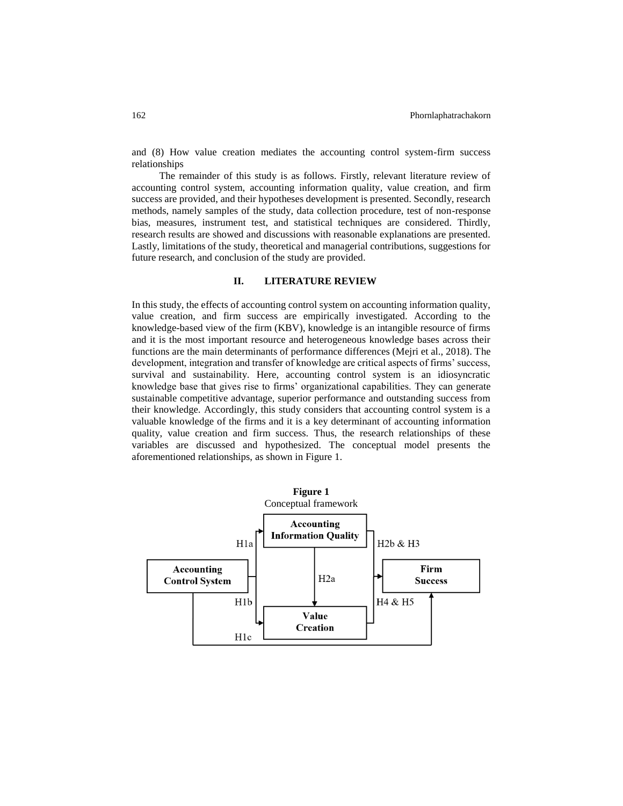and (8) How value creation mediates the accounting control system-firm success relationships

The remainder of this study is as follows. Firstly, relevant literature review of accounting control system, accounting information quality, value creation, and firm success are provided, and their hypotheses development is presented. Secondly, research methods, namely samples of the study, data collection procedure, test of non-response bias, measures, instrument test, and statistical techniques are considered. Thirdly, research results are showed and discussions with reasonable explanations are presented. Lastly, limitations of the study, theoretical and managerial contributions, suggestions for future research, and conclusion of the study are provided.

#### **II. LITERATURE REVIEW**

In this study, the effects of accounting control system on accounting information quality, value creation, and firm success are empirically investigated. According to the knowledge-based view of the firm (KBV), knowledge is an intangible resource of firms and it is the most important resource and heterogeneous knowledge bases across their functions are the main determinants of performance differences (Mejri et al., 2018). The development, integration and transfer of knowledge are critical aspects of firms' success, survival and sustainability. Here, accounting control system is an idiosyncratic knowledge base that gives rise to firms' organizational capabilities. They can generate sustainable competitive advantage, superior performance and outstanding success from their knowledge. Accordingly, this study considers that accounting control system is a valuable knowledge of the firms and it is a key determinant of accounting information quality, value creation and firm success. Thus, the research relationships of these variables are discussed and hypothesized. The conceptual model presents the aforementioned relationships, as shown in Figure 1.

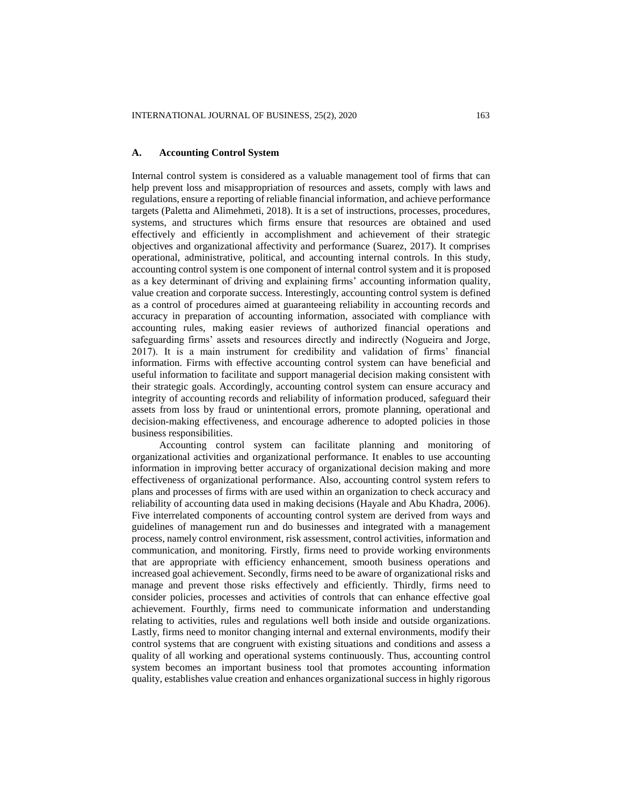# **A. Accounting Control System**

Internal control system is considered as a valuable management tool of firms that can help prevent loss and misappropriation of resources and assets, comply with laws and regulations, ensure a reporting of reliable financial information, and achieve performance targets (Paletta and Alimehmeti, 2018). It is a set of instructions, processes, procedures, systems, and structures which firms ensure that resources are obtained and used effectively and efficiently in accomplishment and achievement of their strategic objectives and organizational affectivity and performance (Suarez, 2017). It comprises operational, administrative, political, and accounting internal controls. In this study, accounting control system is one component of internal control system and it is proposed as a key determinant of driving and explaining firms' accounting information quality, value creation and corporate success. Interestingly, accounting control system is defined as a control of procedures aimed at guaranteeing reliability in accounting records and accuracy in preparation of accounting information, associated with compliance with accounting rules, making easier reviews of authorized financial operations and safeguarding firms' assets and resources directly and indirectly (Nogueira and Jorge, 2017). It is a main instrument for credibility and validation of firms' financial information. Firms with effective accounting control system can have beneficial and useful information to facilitate and support managerial decision making consistent with their strategic goals. Accordingly, accounting control system can ensure accuracy and integrity of accounting records and reliability of information produced, safeguard their assets from loss by fraud or unintentional errors, promote planning, operational and decision-making effectiveness, and encourage adherence to adopted policies in those business responsibilities.

Accounting control system can facilitate planning and monitoring of organizational activities and organizational performance. It enables to use accounting information in improving better accuracy of organizational decision making and more effectiveness of organizational performance. Also, accounting control system refers to plans and processes of firms with are used within an organization to check accuracy and reliability of accounting data used in making decisions (Hayale and Abu Khadra, 2006). Five interrelated components of accounting control system are derived from ways and guidelines of management run and do businesses and integrated with a management process, namely control environment, risk assessment, control activities, information and communication, and monitoring. Firstly, firms need to provide working environments that are appropriate with efficiency enhancement, smooth business operations and increased goal achievement. Secondly, firms need to be aware of organizational risks and manage and prevent those risks effectively and efficiently. Thirdly, firms need to consider policies, processes and activities of controls that can enhance effective goal achievement. Fourthly, firms need to communicate information and understanding relating to activities, rules and regulations well both inside and outside organizations. Lastly, firms need to monitor changing internal and external environments, modify their control systems that are congruent with existing situations and conditions and assess a quality of all working and operational systems continuously. Thus, accounting control system becomes an important business tool that promotes accounting information quality, establishes value creation and enhances organizational success in highly rigorous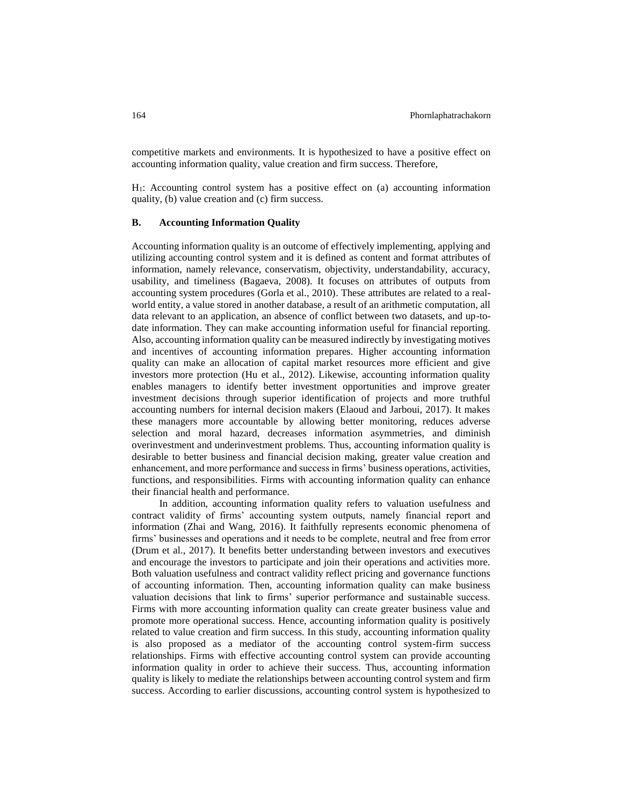competitive markets and environments. It is hypothesized to have a positive effect on accounting information quality, value creation and firm success. Therefore,

H1: Accounting control system has a positive effect on (a) accounting information quality, (b) value creation and (c) firm success.

#### **B. Accounting Information Quality**

Accounting information quality is an outcome of effectively implementing, applying and utilizing accounting control system and it is defined as content and format attributes of information, namely relevance, conservatism, objectivity, understandability, accuracy, usability, and timeliness (Bagaeva, 2008). It focuses on attributes of outputs from accounting system procedures (Gorla et al., 2010). These attributes are related to a realworld entity, a value stored in another database, a result of an arithmetic computation, all data relevant to an application, an absence of conflict between two datasets, and up-todate information. They can make accounting information useful for financial reporting. Also, accounting information quality can be measured indirectly by investigating motives and incentives of accounting information prepares. Higher accounting information quality can make an allocation of capital market resources more efficient and give investors more protection (Hu et al., 2012). Likewise, accounting information quality enables managers to identify better investment opportunities and improve greater investment decisions through superior identification of projects and more truthful accounting numbers for internal decision makers (Elaoud and Jarboui, 2017). It makes these managers more accountable by allowing better monitoring, reduces adverse selection and moral hazard, decreases information asymmetries, and diminish overinvestment and underinvestment problems. Thus, accounting information quality is desirable to better business and financial decision making, greater value creation and enhancement, and more performance and success in firms' business operations, activities, functions, and responsibilities. Firms with accounting information quality can enhance their financial health and performance.

In addition, accounting information quality refers to valuation usefulness and contract validity of firms' accounting system outputs, namely financial report and information (Zhai and Wang, 2016). It faithfully represents economic phenomena of firms' businesses and operations and it needs to be complete, neutral and free from error (Drum et al., 2017). It benefits better understanding between investors and executives and encourage the investors to participate and join their operations and activities more. Both valuation usefulness and contract validity reflect pricing and governance functions of accounting information. Then, accounting information quality can make business valuation decisions that link to firms' superior performance and sustainable success. Firms with more accounting information quality can create greater business value and promote more operational success. Hence, accounting information quality is positively related to value creation and firm success. In this study, accounting information quality is also proposed as a mediator of the accounting control system-firm success relationships. Firms with effective accounting control system can provide accounting information quality in order to achieve their success. Thus, accounting information quality is likely to mediate the relationships between accounting control system and firm success. According to earlier discussions, accounting control system is hypothesized to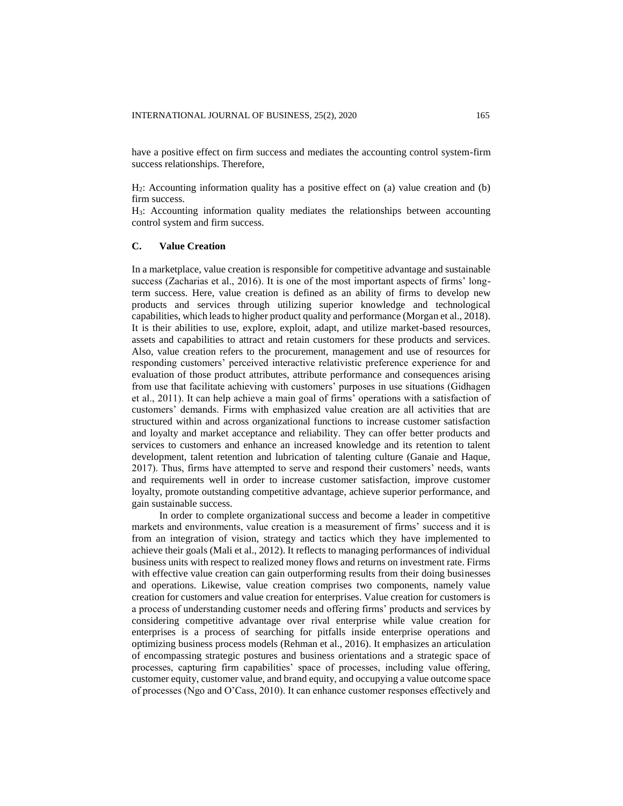have a positive effect on firm success and mediates the accounting control system-firm success relationships. Therefore,

H2: Accounting information quality has a positive effect on (a) value creation and (b) firm success.

H3: Accounting information quality mediates the relationships between accounting control system and firm success.

# **C. Value Creation**

In a marketplace, value creation is responsible for competitive advantage and sustainable success (Zacharias et al., 2016). It is one of the most important aspects of firms' longterm success. Here, value creation is defined as an ability of firms to develop new products and services through utilizing superior knowledge and technological capabilities, which leads to higher product quality and performance (Morgan et al., 2018). It is their abilities to use, explore, exploit, adapt, and utilize market-based resources, assets and capabilities to attract and retain customers for these products and services. Also, value creation refers to the procurement, management and use of resources for responding customers' perceived interactive relativistic preference experience for and evaluation of those product attributes, attribute performance and consequences arising from use that facilitate achieving with customers' purposes in use situations (Gidhagen et al., 2011). It can help achieve a main goal of firms' operations with a satisfaction of customers' demands. Firms with emphasized value creation are all activities that are structured within and across organizational functions to increase customer satisfaction and loyalty and market acceptance and reliability. They can offer better products and services to customers and enhance an increased knowledge and its retention to talent development, talent retention and lubrication of talenting culture (Ganaie and Haque, 2017). Thus, firms have attempted to serve and respond their customers' needs, wants and requirements well in order to increase customer satisfaction, improve customer loyalty, promote outstanding competitive advantage, achieve superior performance, and gain sustainable success.

In order to complete organizational success and become a leader in competitive markets and environments, value creation is a measurement of firms' success and it is from an integration of vision, strategy and tactics which they have implemented to achieve their goals (Mali et al., 2012). It reflects to managing performances of individual business units with respect to realized money flows and returns on investment rate. Firms with effective value creation can gain outperforming results from their doing businesses and operations. Likewise, value creation comprises two components, namely value creation for customers and value creation for enterprises. Value creation for customers is a process of understanding customer needs and offering firms' products and services by considering competitive advantage over rival enterprise while value creation for enterprises is a process of searching for pitfalls inside enterprise operations and optimizing business process models (Rehman et al., 2016). It emphasizes an articulation of encompassing strategic postures and business orientations and a strategic space of processes, capturing firm capabilities' space of processes, including value offering, customer equity, customer value, and brand equity, and occupying a value outcome space of processes (Ngo and O'Cass, 2010). It can enhance customer responses effectively and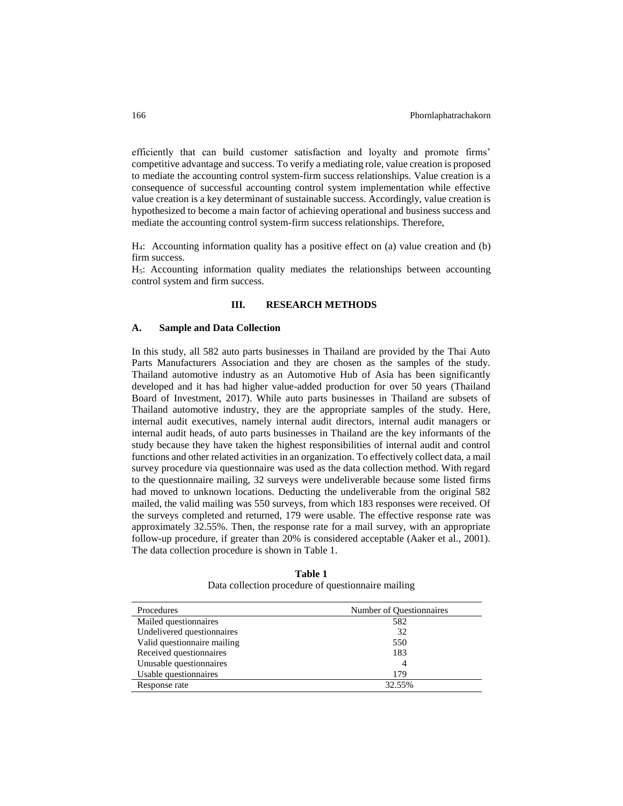efficiently that can build customer satisfaction and loyalty and promote firms' competitive advantage and success. To verify a mediating role, value creation is proposed to mediate the accounting control system-firm success relationships. Value creation is a consequence of successful accounting control system implementation while effective value creation is a key determinant of sustainable success. Accordingly, value creation is hypothesized to become a main factor of achieving operational and business success and mediate the accounting control system-firm success relationships. Therefore,

H4: Accounting information quality has a positive effect on (a) value creation and (b) firm success.

H5: Accounting information quality mediates the relationships between accounting control system and firm success.

### **III. RESEARCH METHODS**

#### **A. Sample and Data Collection**

In this study, all 582 auto parts businesses in Thailand are provided by the Thai Auto Parts Manufacturers Association and they are chosen as the samples of the study. Thailand automotive industry as an Automotive Hub of Asia has been significantly developed and it has had higher value-added production for over 50 years (Thailand Board of Investment, 2017). While auto parts businesses in Thailand are subsets of Thailand automotive industry, they are the appropriate samples of the study. Here, internal audit executives, namely internal audit directors, internal audit managers or internal audit heads, of auto parts businesses in Thailand are the key informants of the study because they have taken the highest responsibilities of internal audit and control functions and other related activities in an organization. To effectively collect data, a mail survey procedure via questionnaire was used as the data collection method. With regard to the questionnaire mailing, 32 surveys were undeliverable because some listed firms had moved to unknown locations. Deducting the undeliverable from the original 582 mailed, the valid mailing was 550 surveys, from which 183 responses were received. Of the surveys completed and returned, 179 were usable. The effective response rate was approximately 32.55%. Then, the response rate for a mail survey, with an appropriate follow-up procedure, if greater than 20% is considered acceptable (Aaker et al., 2001). The data collection procedure is shown in Table 1.

| Procedures                  | Number of Questionnaires |
|-----------------------------|--------------------------|
| Mailed questionnaires       | 582                      |
| Undelivered questionnaires  | 32                       |
| Valid questionnaire mailing | 550                      |
| Received questionnaires     | 183                      |
| Unusable questionnaires     | 4                        |
| Usable questionnaires       | 179                      |
| Response rate               | 32.55%                   |

**Table 1** Data collection procedure of questionnaire mailing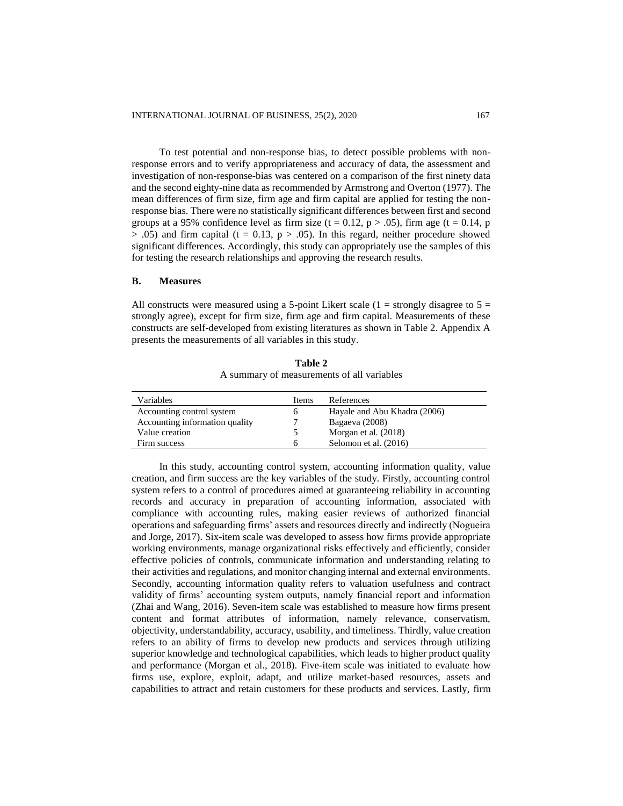To test potential and non-response bias, to detect possible problems with nonresponse errors and to verify appropriateness and accuracy of data, the assessment and investigation of non-response-bias was centered on a comparison of the first ninety data and the second eighty-nine data as recommended by Armstrong and Overton (1977). The mean differences of firm size, firm age and firm capital are applied for testing the nonresponse bias. There were no statistically significant differences between first and second groups at a 95% confidence level as firm size (t = 0.12, p > .05), firm age (t = 0.14, p  $> .05$ ) and firm capital (t = 0.13, p  $> .05$ ). In this regard, neither procedure showed significant differences. Accordingly, this study can appropriately use the samples of this for testing the research relationships and approving the research results.

# **B. Measures**

All constructs were measured using a 5-point Likert scale (1 = strongly disagree to  $5 =$ strongly agree), except for firm size, firm age and firm capital. Measurements of these constructs are self-developed from existing literatures as shown in Table 2. Appendix A presents the measurements of all variables in this study.

| Variables                      | <b>Items</b> | References                   |
|--------------------------------|--------------|------------------------------|
| Accounting control system      | O            | Hayale and Abu Khadra (2006) |
| Accounting information quality | −            | Bagaeva (2008)               |
| Value creation                 |              | Morgan et al. (2018)         |
| Firm success                   | <sub>6</sub> | Selomon et al. (2016)        |

**Table 2** A summary of measurements of all variables

In this study, accounting control system, accounting information quality, value creation, and firm success are the key variables of the study. Firstly, accounting control system refers to a control of procedures aimed at guaranteeing reliability in accounting records and accuracy in preparation of accounting information, associated with compliance with accounting rules, making easier reviews of authorized financial operations and safeguarding firms' assets and resources directly and indirectly (Nogueira and Jorge, 2017). Six-item scale was developed to assess how firms provide appropriate working environments, manage organizational risks effectively and efficiently, consider effective policies of controls, communicate information and understanding relating to their activities and regulations, and monitor changing internal and external environments. Secondly, accounting information quality refers to valuation usefulness and contract validity of firms' accounting system outputs, namely financial report and information (Zhai and Wang, 2016). Seven-item scale was established to measure how firms present content and format attributes of information, namely relevance, conservatism, objectivity, understandability, accuracy, usability, and timeliness. Thirdly, value creation refers to an ability of firms to develop new products and services through utilizing superior knowledge and technological capabilities, which leads to higher product quality and performance (Morgan et al., 2018). Five-item scale was initiated to evaluate how firms use, explore, exploit, adapt, and utilize market-based resources, assets and capabilities to attract and retain customers for these products and services. Lastly, firm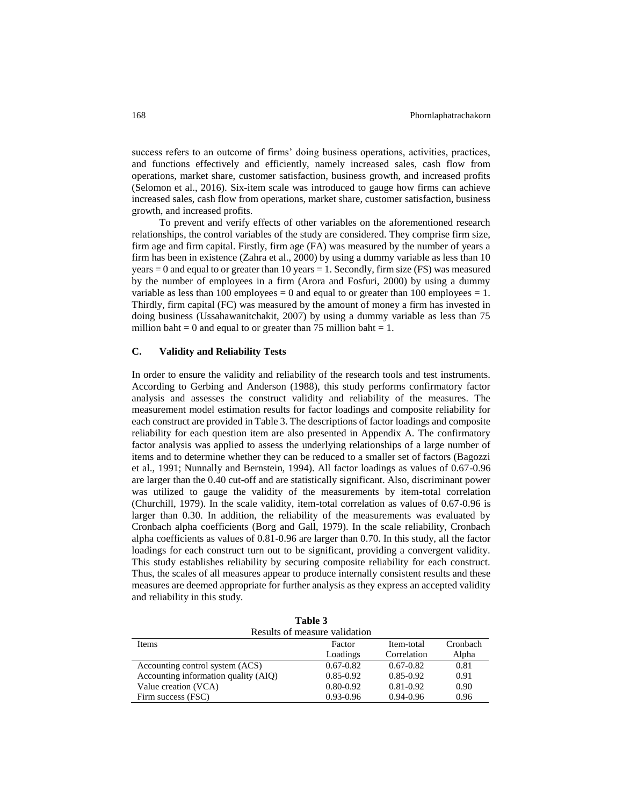success refers to an outcome of firms' doing business operations, activities, practices, and functions effectively and efficiently, namely increased sales, cash flow from operations, market share, customer satisfaction, business growth, and increased profits (Selomon et al., 2016). Six-item scale was introduced to gauge how firms can achieve increased sales, cash flow from operations, market share, customer satisfaction, business growth, and increased profits.

To prevent and verify effects of other variables on the aforementioned research relationships, the control variables of the study are considered. They comprise firm size, firm age and firm capital. Firstly, firm age (FA) was measured by the number of years a firm has been in existence (Zahra et al., 2000) by using a dummy variable as less than 10 years  $= 0$  and equal to or greater than 10 years  $= 1$ . Secondly, firm size (FS) was measured by the number of employees in a firm (Arora and Fosfuri, 2000) by using a dummy variable as less than 100 employees  $= 0$  and equal to or greater than 100 employees  $= 1$ . Thirdly, firm capital (FC) was measured by the amount of money a firm has invested in doing business (Ussahawanitchakit, 2007) by using a dummy variable as less than 75 million baht  $= 0$  and equal to or greater than 75 million baht  $= 1$ .

#### **C. Validity and Reliability Tests**

In order to ensure the validity and reliability of the research tools and test instruments. According to Gerbing and Anderson (1988), this study performs confirmatory factor analysis and assesses the construct validity and reliability of the measures. The measurement model estimation results for factor loadings and composite reliability for each construct are provided in Table 3. The descriptions of factor loadings and composite reliability for each question item are also presented in Appendix A. The confirmatory factor analysis was applied to assess the underlying relationships of a large number of items and to determine whether they can be reduced to a smaller set of factors (Bagozzi et al., 1991; Nunnally and Bernstein, 1994). All factor loadings as values of 0.67-0.96 are larger than the 0.40 cut-off and are statistically significant. Also, discriminant power was utilized to gauge the validity of the measurements by item-total correlation (Churchill, 1979). In the scale validity, item-total correlation as values of 0.67-0.96 is larger than 0.30. In addition, the reliability of the measurements was evaluated by Cronbach alpha coefficients (Borg and Gall, 1979). In the scale reliability, Cronbach alpha coefficients as values of 0.81-0.96 are larger than 0.70. In this study, all the factor loadings for each construct turn out to be significant, providing a convergent validity. This study establishes reliability by securing composite reliability for each construct. Thus, the scales of all measures appear to produce internally consistent results and these measures are deemed appropriate for further analysis as they express an accepted validity and reliability in this study.

|                                      | Table J       |               |          |  |
|--------------------------------------|---------------|---------------|----------|--|
| Results of measure validation        |               |               |          |  |
| <b>Items</b>                         | Factor        | Item-total    | Cronbach |  |
|                                      | Loadings      | Correlation   | Alpha    |  |
| Accounting control system (ACS)      | $0.67 - 0.82$ | $0.67 - 0.82$ | 0.81     |  |
| Accounting information quality (AIQ) | $0.85 - 0.92$ | $0.85 - 0.92$ | 0.91     |  |
| Value creation (VCA)                 | $0.80 - 0.92$ | $0.81 - 0.92$ | 0.90     |  |
| Firm success (FSC)                   | $0.93 - 0.96$ | 0.94-0.96     | 0.96     |  |

**Table 3**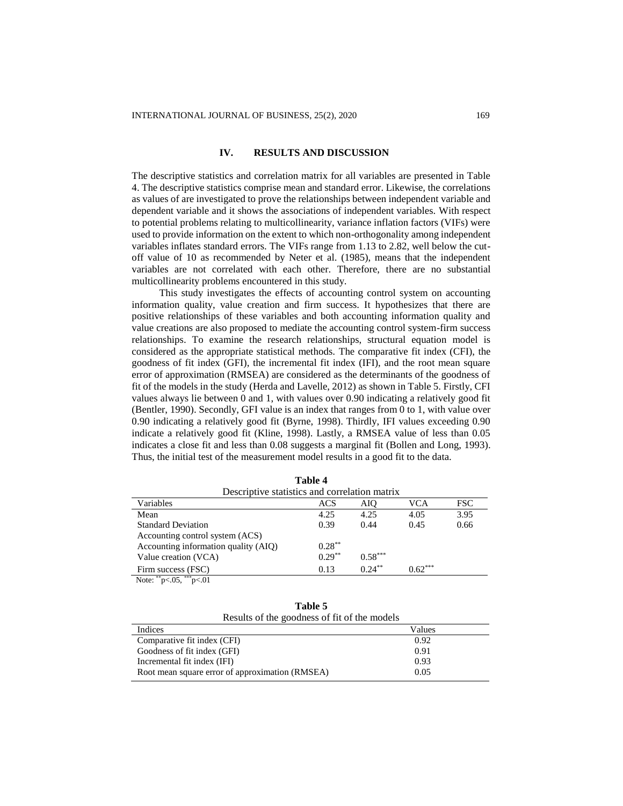# **IV. RESULTS AND DISCUSSION**

The descriptive statistics and correlation matrix for all variables are presented in Table 4. The descriptive statistics comprise mean and standard error. Likewise, the correlations as values of are investigated to prove the relationships between independent variable and dependent variable and it shows the associations of independent variables. With respect to potential problems relating to multicollinearity, variance inflation factors (VIFs) were used to provide information on the extent to which non-orthogonality among independent variables inflates standard errors. The VIFs range from 1.13 to 2.82, well below the cutoff value of 10 as recommended by Neter et al. (1985), means that the independent variables are not correlated with each other. Therefore, there are no substantial multicollinearity problems encountered in this study.

This study investigates the effects of accounting control system on accounting information quality, value creation and firm success. It hypothesizes that there are positive relationships of these variables and both accounting information quality and value creations are also proposed to mediate the accounting control system-firm success relationships. To examine the research relationships, structural equation model is considered as the appropriate statistical methods. The comparative fit index (CFI), the goodness of fit index (GFI), the incremental fit index (IFI), and the root mean square error of approximation (RMSEA) are considered as the determinants of the goodness of fit of the models in the study (Herda and Lavelle, 2012) as shown in Table 5. Firstly, CFI values always lie between 0 and 1, with values over 0.90 indicating a relatively good fit (Bentler, 1990). Secondly, GFI value is an index that ranges from 0 to 1, with value over 0.90 indicating a relatively good fit (Byrne, 1998). Thirdly, IFI values exceeding 0.90 indicate a relatively good fit (Kline, 1998). Lastly, a RMSEA value of less than 0.05 indicates a close fit and less than 0.08 suggests a marginal fit (Bollen and Long, 1993). Thus, the initial test of the measurement model results in a good fit to the data.

| Descriptive statistics and correlation matrix |           |           |           |      |
|-----------------------------------------------|-----------|-----------|-----------|------|
| Variables                                     | ACS       | AIO       | VCA       | FSC- |
| Mean                                          | 4.25      | 4.25      | 4.05      | 3.95 |
| <b>Standard Deviation</b>                     | 0.39      | 0.44      | 0.45      | 0.66 |
| Accounting control system (ACS)               |           |           |           |      |
| Accounting information quality (AIQ)          | $0.28***$ |           |           |      |
| Value creation (VCA)                          | $0.29**$  | $0.58***$ |           |      |
| Firm success (FSC)                            | 0.13      | $0.24**$  | $0.62***$ |      |
| Note: $i^*$<br>$p<.05$ , $p<.01$              |           |           |           |      |

|                                               | Table 4 |     |
|-----------------------------------------------|---------|-----|
| Descriptive statistics and correlation matrix |         |     |
|                                               | ACS     | AΙO |

| Table 5                                      |
|----------------------------------------------|
| Results of the goodness of fit of the models |

| repared of the goodness of the of the models    |        |
|-------------------------------------------------|--------|
| Indices                                         | Values |
| Comparative fit index (CFI)                     | 0.92   |
| Goodness of fit index (GFI)                     | 0.91   |
| Incremental fit index (IFI)                     | 0.93   |
| Root mean square error of approximation (RMSEA) | 0.05   |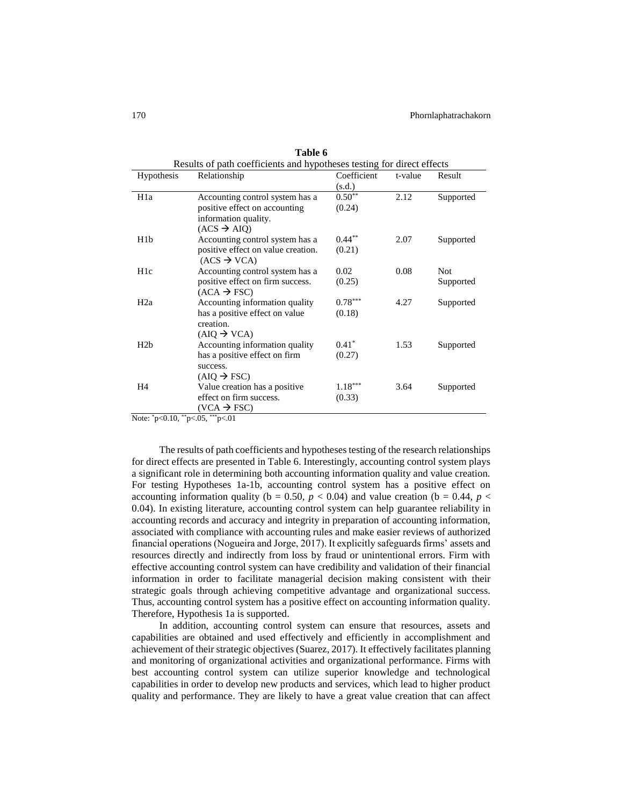| Results of path coefficients and hypotheses testing for direct effects |                                    |             |         |            |
|------------------------------------------------------------------------|------------------------------------|-------------|---------|------------|
| Hypothesis                                                             | Relationship                       | Coefficient | t-value | Result     |
|                                                                        |                                    | (s.d.)      |         |            |
| H <sub>1</sub> a                                                       | Accounting control system has a    | $0.50^{**}$ | 2.12    | Supported  |
|                                                                        | positive effect on accounting      | (0.24)      |         |            |
|                                                                        | information quality.               |             |         |            |
|                                                                        | $(ACS \rightarrow AIO)$            |             |         |            |
| H <sub>1</sub> b                                                       | Accounting control system has a    | $0.44***$   | 2.07    | Supported  |
|                                                                        | positive effect on value creation. | (0.21)      |         |            |
|                                                                        | $(ACS \rightarrow VCA)$            |             |         |            |
| H <sub>1</sub> c                                                       | Accounting control system has a    | 0.02        | 0.08    | <b>Not</b> |
|                                                                        | positive effect on firm success.   | (0.25)      |         | Supported  |
|                                                                        | $(ACA \rightarrow FSC)$            |             |         |            |
| H2a                                                                    | Accounting information quality     | $0.78***$   | 4.27    | Supported  |
|                                                                        | has a positive effect on value     | (0.18)      |         |            |
|                                                                        | creation.                          |             |         |            |
|                                                                        | $(AIO \rightarrow VCA)$            |             |         |            |
| H2b                                                                    | Accounting information quality     | $0.41^*$    | 1.53    | Supported  |
|                                                                        | has a positive effect on firm      | (0.27)      |         |            |
|                                                                        | success.                           |             |         |            |
|                                                                        | $(AIO \rightarrow FSC)$            |             |         |            |
| H <sub>4</sub>                                                         | Value creation has a positive      | $1.18***$   | 3.64    | Supported  |
|                                                                        | effect on firm success.            | (0.33)      |         |            |
|                                                                        | $(VCA \rightarrow FSC)$            |             |         |            |

**Table 6**

Note:  $p<0.10$ ,  $p<0.5$ ,  $p<0.11$ 

The results of path coefficients and hypotheses testing of the research relationships for direct effects are presented in Table 6. Interestingly, accounting control system plays a significant role in determining both accounting information quality and value creation. For testing Hypotheses 1a-1b, accounting control system has a positive effect on accounting information quality ( $b = 0.50$ ,  $p < 0.04$ ) and value creation ( $b = 0.44$ ,  $p <$ 0.04). In existing literature, accounting control system can help guarantee reliability in accounting records and accuracy and integrity in preparation of accounting information, associated with compliance with accounting rules and make easier reviews of authorized financial operations (Nogueira and Jorge, 2017). It explicitly safeguards firms' assets and resources directly and indirectly from loss by fraud or unintentional errors. Firm with effective accounting control system can have credibility and validation of their financial information in order to facilitate managerial decision making consistent with their strategic goals through achieving competitive advantage and organizational success. Thus, accounting control system has a positive effect on accounting information quality. Therefore, Hypothesis 1a is supported.

In addition, accounting control system can ensure that resources, assets and capabilities are obtained and used effectively and efficiently in accomplishment and achievement of their strategic objectives (Suarez, 2017). It effectively facilitates planning and monitoring of organizational activities and organizational performance. Firms with best accounting control system can utilize superior knowledge and technological capabilities in order to develop new products and services, which lead to higher product quality and performance. They are likely to have a great value creation that can affect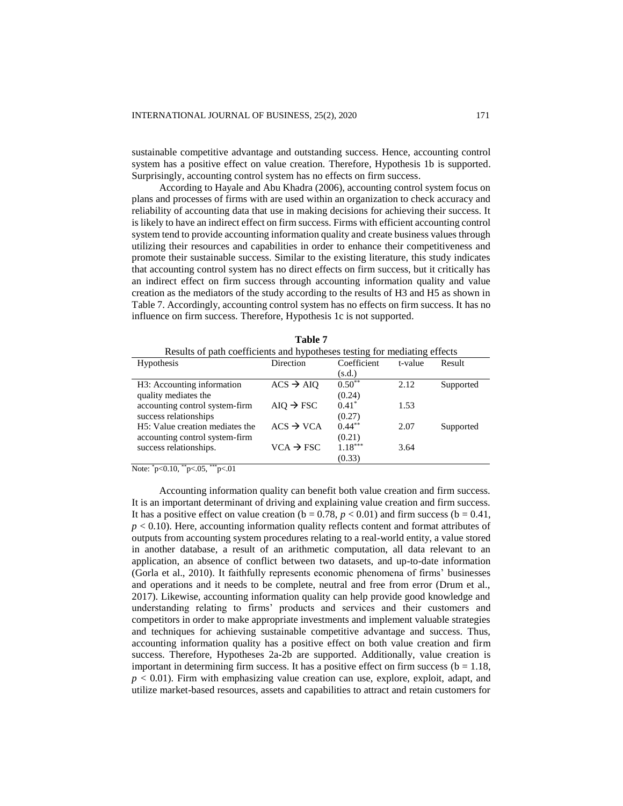sustainable competitive advantage and outstanding success. Hence, accounting control system has a positive effect on value creation. Therefore, Hypothesis 1b is supported. Surprisingly, accounting control system has no effects on firm success.

According to Hayale and Abu Khadra (2006), accounting control system focus on plans and processes of firms with are used within an organization to check accuracy and reliability of accounting data that use in making decisions for achieving their success. It is likely to have an indirect effect on firm success. Firms with efficient accounting control system tend to provide accounting information quality and create business values through utilizing their resources and capabilities in order to enhance their competitiveness and promote their sustainable success. Similar to the existing literature, this study indicates that accounting control system has no direct effects on firm success, but it critically has an indirect effect on firm success through accounting information quality and value creation as the mediators of the study according to the results of H3 and H5 as shown in Table 7. Accordingly, accounting control system has no effects on firm success. It has no influence on firm success. Therefore, Hypothesis 1c is not supported.

|                                                                           | .                     |             |         |           |
|---------------------------------------------------------------------------|-----------------------|-------------|---------|-----------|
| Results of path coefficients and hypotheses testing for mediating effects |                       |             |         |           |
| <b>Hypothesis</b>                                                         | Direction             | Coefficient | t-value | Result    |
|                                                                           |                       | (s.d.)      |         |           |
| H3: Accounting information                                                | $ACS \rightarrow AIO$ | $0.50^{**}$ | 2.12    | Supported |
| quality mediates the                                                      |                       | (0.24)      |         |           |
| accounting control system-firm                                            | $AIO \rightarrow FSC$ | $0.41*$     | 1.53    |           |
| success relationships                                                     |                       | (0.27)      |         |           |
| H <sub>5</sub> : Value creation mediates the                              | $ACS \rightarrow VCA$ | $0.44***$   | 2.07    | Supported |
| accounting control system-firm                                            |                       | (0.21)      |         |           |
| success relationships.                                                    | $VCA \rightarrow FSC$ | $1.18***$   | 3.64    |           |
|                                                                           |                       | (0.33)      |         |           |

**Table 7**

Note:  $p<0.10$ ,  $p<0.5$ ,  $p<01$ 

Accounting information quality can benefit both value creation and firm success. It is an important determinant of driving and explaining value creation and firm success. It has a positive effect on value creation ( $b = 0.78$ ,  $p < 0.01$ ) and firm success ( $b = 0.41$ , *p* < 0.10). Here, accounting information quality reflects content and format attributes of outputs from accounting system procedures relating to a real-world entity, a value stored in another database, a result of an arithmetic computation, all data relevant to an application, an absence of conflict between two datasets, and up-to-date information (Gorla et al., 2010). It faithfully represents economic phenomena of firms' businesses and operations and it needs to be complete, neutral and free from error (Drum et al., 2017). Likewise, accounting information quality can help provide good knowledge and understanding relating to firms' products and services and their customers and competitors in order to make appropriate investments and implement valuable strategies and techniques for achieving sustainable competitive advantage and success. Thus, accounting information quality has a positive effect on both value creation and firm success. Therefore, Hypotheses 2a-2b are supported. Additionally, value creation is important in determining firm success. It has a positive effect on firm success ( $b = 1.18$ ,  $p < 0.01$ ). Firm with emphasizing value creation can use, explore, exploit, adapt, and utilize market-based resources, assets and capabilities to attract and retain customers for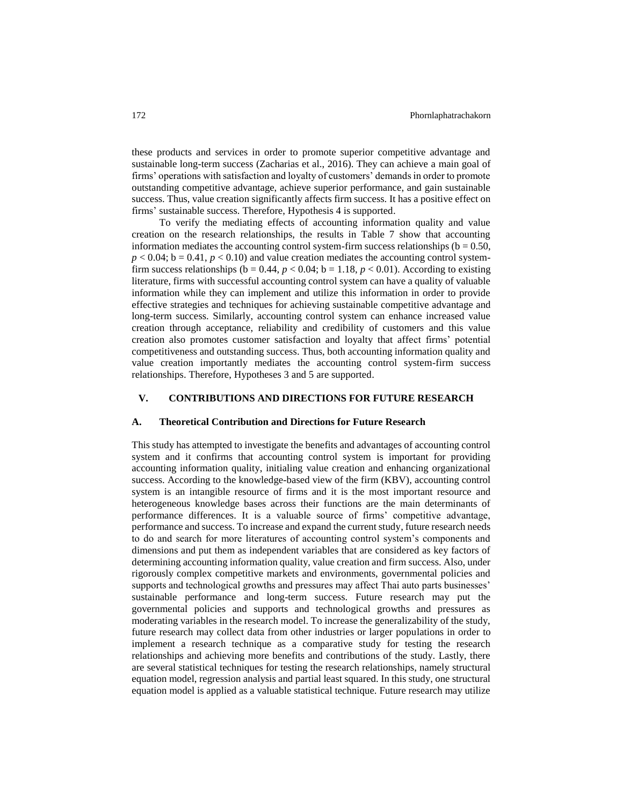these products and services in order to promote superior competitive advantage and sustainable long-term success (Zacharias et al., 2016). They can achieve a main goal of firms' operations with satisfaction and loyalty of customers' demands in order to promote outstanding competitive advantage, achieve superior performance, and gain sustainable success. Thus, value creation significantly affects firm success. It has a positive effect on firms' sustainable success. Therefore, Hypothesis 4 is supported.

To verify the mediating effects of accounting information quality and value creation on the research relationships, the results in Table 7 show that accounting information mediates the accounting control system-firm success relationships ( $b = 0.50$ ,  $p < 0.04$ ;  $b = 0.41$ ,  $p < 0.10$ ) and value creation mediates the accounting control systemfirm success relationships ( $b = 0.44$ ,  $p < 0.04$ ;  $b = 1.18$ ,  $p < 0.01$ ). According to existing literature, firms with successful accounting control system can have a quality of valuable information while they can implement and utilize this information in order to provide effective strategies and techniques for achieving sustainable competitive advantage and long-term success. Similarly, accounting control system can enhance increased value creation through acceptance, reliability and credibility of customers and this value creation also promotes customer satisfaction and loyalty that affect firms' potential competitiveness and outstanding success. Thus, both accounting information quality and value creation importantly mediates the accounting control system-firm success relationships. Therefore, Hypotheses 3 and 5 are supported.

# **V. CONTRIBUTIONS AND DIRECTIONS FOR FUTURE RESEARCH**

#### **A. Theoretical Contribution and Directions for Future Research**

This study has attempted to investigate the benefits and advantages of accounting control system and it confirms that accounting control system is important for providing accounting information quality, initialing value creation and enhancing organizational success. According to the knowledge-based view of the firm (KBV), accounting control system is an intangible resource of firms and it is the most important resource and heterogeneous knowledge bases across their functions are the main determinants of performance differences. It is a valuable source of firms' competitive advantage, performance and success. To increase and expand the current study, future research needs to do and search for more literatures of accounting control system's components and dimensions and put them as independent variables that are considered as key factors of determining accounting information quality, value creation and firm success. Also, under rigorously complex competitive markets and environments, governmental policies and supports and technological growths and pressures may affect Thai auto parts businesses' sustainable performance and long-term success. Future research may put the governmental policies and supports and technological growths and pressures as moderating variables in the research model. To increase the generalizability of the study, future research may collect data from other industries or larger populations in order to implement a research technique as a comparative study for testing the research relationships and achieving more benefits and contributions of the study. Lastly, there are several statistical techniques for testing the research relationships, namely structural equation model, regression analysis and partial least squared. In this study, one structural equation model is applied as a valuable statistical technique. Future research may utilize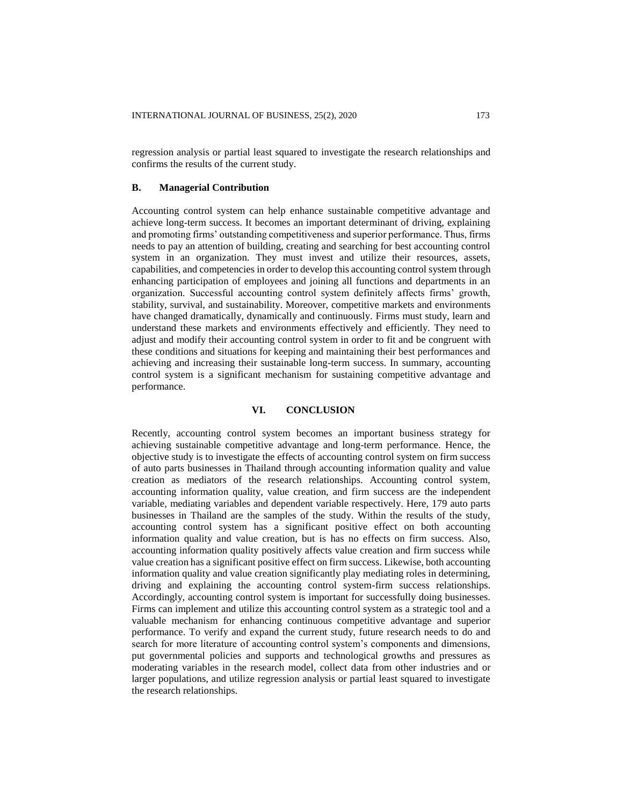regression analysis or partial least squared to investigate the research relationships and confirms the results of the current study.

#### **B. Managerial Contribution**

Accounting control system can help enhance sustainable competitive advantage and achieve long-term success. It becomes an important determinant of driving, explaining and promoting firms' outstanding competitiveness and superior performance. Thus, firms needs to pay an attention of building, creating and searching for best accounting control system in an organization. They must invest and utilize their resources, assets, capabilities, and competencies in order to develop this accounting control system through enhancing participation of employees and joining all functions and departments in an organization. Successful accounting control system definitely affects firms' growth, stability, survival, and sustainability. Moreover, competitive markets and environments have changed dramatically, dynamically and continuously. Firms must study, learn and understand these markets and environments effectively and efficiently. They need to adjust and modify their accounting control system in order to fit and be congruent with these conditions and situations for keeping and maintaining their best performances and achieving and increasing their sustainable long-term success. In summary, accounting control system is a significant mechanism for sustaining competitive advantage and performance.

# **VI. CONCLUSION**

Recently, accounting control system becomes an important business strategy for achieving sustainable competitive advantage and long-term performance. Hence, the objective study is to investigate the effects of accounting control system on firm success of auto parts businesses in Thailand through accounting information quality and value creation as mediators of the research relationships. Accounting control system, accounting information quality, value creation, and firm success are the independent variable, mediating variables and dependent variable respectively. Here, 179 auto parts businesses in Thailand are the samples of the study. Within the results of the study, accounting control system has a significant positive effect on both accounting information quality and value creation, but is has no effects on firm success. Also, accounting information quality positively affects value creation and firm success while value creation has a significant positive effect on firm success. Likewise, both accounting information quality and value creation significantly play mediating roles in determining, driving and explaining the accounting control system-firm success relationships. Accordingly, accounting control system is important for successfully doing businesses. Firms can implement and utilize this accounting control system as a strategic tool and a valuable mechanism for enhancing continuous competitive advantage and superior performance. To verify and expand the current study, future research needs to do and search for more literature of accounting control system's components and dimensions, put governmental policies and supports and technological growths and pressures as moderating variables in the research model, collect data from other industries and or larger populations, and utilize regression analysis or partial least squared to investigate the research relationships.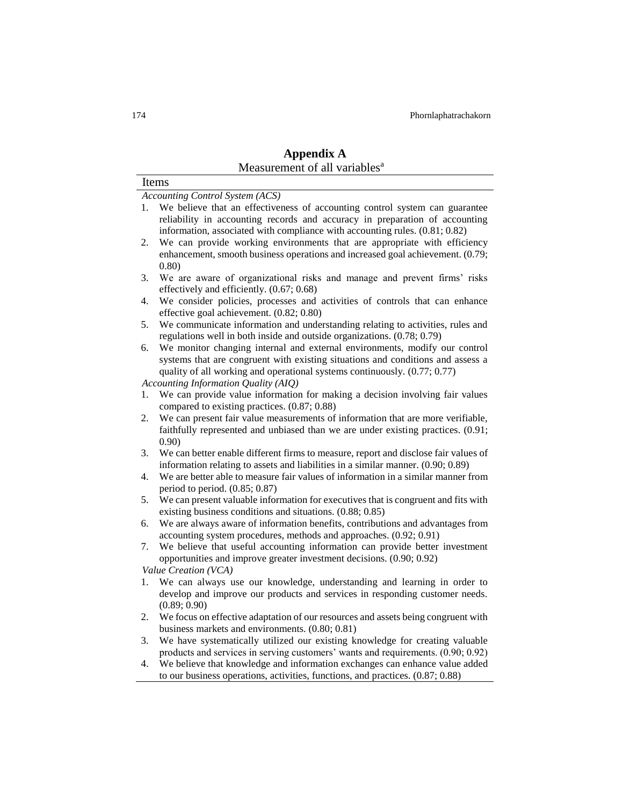|    | Measurement of all variables <sup>a</sup>                                                                                                             |
|----|-------------------------------------------------------------------------------------------------------------------------------------------------------|
|    | Items                                                                                                                                                 |
|    | <b>Accounting Control System (ACS)</b>                                                                                                                |
| 1. | We believe that an effectiveness of accounting control system can guarantee                                                                           |
|    | reliability in accounting records and accuracy in preparation of accounting                                                                           |
|    | information, associated with compliance with accounting rules. (0.81; 0.82)                                                                           |
| 2. | We can provide working environments that are appropriate with efficiency                                                                              |
|    | enhancement, smooth business operations and increased goal achievement. (0.79;                                                                        |
|    | (0.80)                                                                                                                                                |
| 3. | We are aware of organizational risks and manage and prevent firms' risks                                                                              |
|    | effectively and efficiently. (0.67; 0.68)                                                                                                             |
| 4. | We consider policies, processes and activities of controls that can enhance                                                                           |
|    | effective goal achievement. (0.82; 0.80)                                                                                                              |
| 5. | We communicate information and understanding relating to activities, rules and                                                                        |
|    | regulations well in both inside and outside organizations. (0.78; 0.79)<br>We monitor changing internal and external environments, modify our control |
| 6. | systems that are congruent with existing situations and conditions and assess a                                                                       |
|    | quality of all working and operational systems continuously. $(0.77; 0.77)$                                                                           |
|    | Accounting Information Quality (AIQ)                                                                                                                  |
| 1. | We can provide value information for making a decision involving fair values                                                                          |
|    | compared to existing practices. (0.87; 0.88)                                                                                                          |
| 2. | We can present fair value measurements of information that are more verifiable,                                                                       |
|    | faithfully represented and unbiased than we are under existing practices. (0.91;                                                                      |
|    | 0.90)                                                                                                                                                 |
| 3. | We can better enable different firms to measure, report and disclose fair values of                                                                   |
|    | information relating to assets and liabilities in a similar manner. (0.90; 0.89)                                                                      |
| 4. | We are better able to measure fair values of information in a similar manner from                                                                     |
|    | period to period. $(0.85; 0.87)$                                                                                                                      |
| 5. | We can present valuable information for executives that is congruent and fits with                                                                    |
|    | existing business conditions and situations. (0.88; 0.85)                                                                                             |
| 6. | We are always aware of information benefits, contributions and advantages from                                                                        |
| 7. | accounting system procedures, methods and approaches. (0.92; 0.91)<br>We believe that useful accounting information can provide better investment     |
|    | opportunities and improve greater investment decisions. (0.90; 0.92)                                                                                  |
|    | Value Creation (VCA)                                                                                                                                  |
| 1. | We can always use our knowledge, understanding and learning in order to                                                                               |
|    | develop and improve our products and services in responding customer needs.                                                                           |
|    | (0.89; 0.90)                                                                                                                                          |
| 2. | We focus on effective adaptation of our resources and assets being congruent with                                                                     |
|    | business markets and environments. (0.80; 0.81)                                                                                                       |
| 3. | We have systematically utilized our existing knowledge for creating valuable                                                                          |
|    | products and services in serving customers' wants and requirements. (0.90; 0.92)                                                                      |
| 4. | We believe that knowledge and information exchanges can enhance value added                                                                           |
|    | to our business operations, activities, functions, and practices. (0.87; 0.88)                                                                        |

# **Appendix A**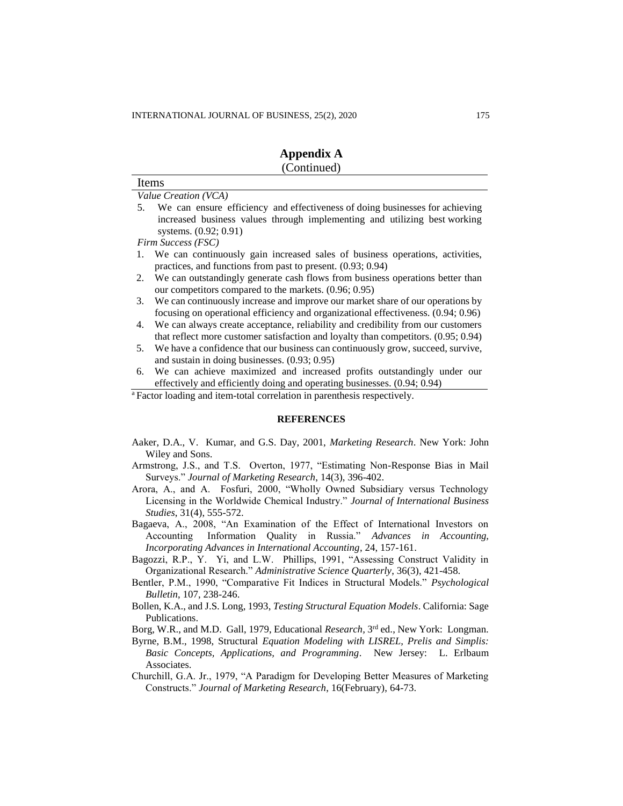Items

| <b>Appendix A</b> |
|-------------------|
| (Continued)       |

|    | Value Creation (VCA)                                                                 |
|----|--------------------------------------------------------------------------------------|
| 5. | We can ensure efficiency and effectiveness of doing businesses for achieving         |
|    | increased business values through implementing and utilizing best working            |
|    | systems. (0.92; 0.91)                                                                |
|    | Firm Success (FSC)                                                                   |
|    | We can continuously gain increased sales of business operations, activities,         |
|    | practices, and functions from past to present. $(0.93, 0.94)$                        |
|    | 2. We can outstandingly generate cash flows from business operations better than     |
|    | our competitors compared to the markets. (0.96; 0.95)                                |
| 3. | We can continuously increase and improve our market share of our operations by       |
|    | focusing on operational efficiency and organizational effectiveness. (0.94; 0.96)    |
| 4. | We can always create acceptance, reliability and credibility from our customers      |
|    | that reflect more customer satisfaction and loyalty than competitors. $(0.95, 0.94)$ |
| 5. | We have a confidence that our business can continuously grow, succeed, survive,      |
|    | and sustain in doing businesses. $(0.93; 0.95)$                                      |
| 6. | We can achieve maximized and increased profits outstandingly under our               |

effectively and efficiently doing and operating businesses. (0.94; 0.94)

<sup>a</sup>Factor loading and item-total correlation in parenthesis respectively.

#### **REFERENCES**

- Aaker, D.A., V. Kumar, and G.S. Day, 2001, *Marketing Research*. New York: John Wiley and Sons.
- Armstrong, J.S., and T.S. Overton, 1977, "Estimating Non-Response Bias in Mail Surveys." *Journal of Marketing Research*, 14(3), 396-402.
- Arora, A., and A. Fosfuri, 2000, "Wholly Owned Subsidiary versus Technology Licensing in the Worldwide Chemical Industry." *Journal of International Business Studies*, 31(4), 555-572.
- Bagaeva, A., 2008, "An Examination of the Effect of International Investors on Accounting Information Quality in Russia." *Advances in Accounting, Incorporating Advances in International Accounting*, 24, 157-161.
- Bagozzi, R.P., Y. Yi, and L.W. Phillips, 1991, "Assessing Construct Validity in Organizational Research." *Administrative Science Quarterly*, 36(3), 421-458.
- Bentler, P.M., 1990, "Comparative Fit Indices in Structural Models." *Psychological Bulletin*, 107, 238-246.
- Bollen, K.A., and J.S. Long, 1993, *Testing Structural Equation Models*. California: Sage Publications.
- Borg, W.R., and M.D. Gall, 1979, Educational *Research*, 3<sup>rd</sup> ed., New York: Longman.
- Byrne, B.M., 1998, Structural *Equation Modeling with LISREL, Prelis and Simplis: Basic Concepts, Applications, and Programming*. New Jersey: L. Erlbaum Associates.
- Churchill, G.A. Jr., 1979, "A Paradigm for Developing Better Measures of Marketing Constructs." *Journal of Marketing Research*, 16(February), 64-73.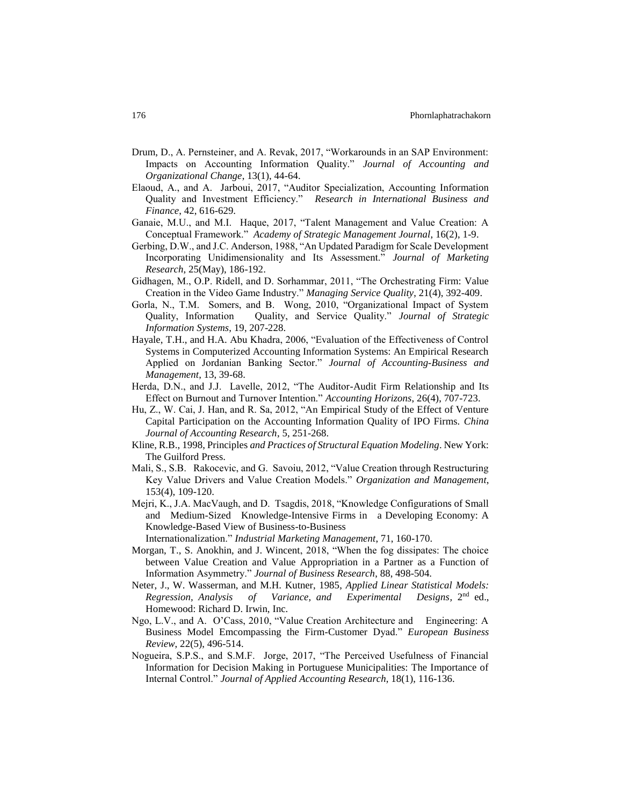- Drum, D., A. Pernsteiner, and A. Revak, 2017, "Workarounds in an SAP Environment: Impacts on Accounting Information Quality." *Journal of Accounting and Organizational Change*, 13(1), 44-64.
- Elaoud, A., and A. Jarboui, 2017, "Auditor Specialization, Accounting Information Quality and Investment Efficiency." *Research in International Business and Finance*, 42, 616-629.
- Ganaie, M.U., and M.I. Haque, 2017, "Talent Management and Value Creation: A Conceptual Framework." *Academy of Strategic Management Journal*, 16(2), 1-9.
- Gerbing, D.W., and J.C. Anderson, 1988, "An Updated Paradigm for Scale Development Incorporating Unidimensionality and Its Assessment." *Journal of Marketing Research*, 25(May), 186-192.
- Gidhagen, M., O.P. Ridell, and D. Sorhammar, 2011, "The Orchestrating Firm: Value Creation in the Video Game Industry." *Managing Service Quality*, 21(4), 392-409.
- Gorla, N., T.M. Somers, and B. Wong, 2010, "Organizational Impact of System Quality, Information Quality, and Service Quality." *Journal of Strategic Information Systems*, 19, 207-228.
- Hayale, T.H., and H.A. Abu Khadra, 2006, "Evaluation of the Effectiveness of Control Systems in Computerized Accounting Information Systems: An Empirical Research Applied on Jordanian Banking Sector." *Journal of Accounting-Business and Management*, 13, 39-68.
- Herda, D.N., and J.J. Lavelle, 2012, "The Auditor-Audit Firm Relationship and Its Effect on Burnout and Turnover Intention." *Accounting Horizons*, 26(4), 707-723.
- Hu, Z., W. Cai, J. Han, and R. Sa, 2012, "An Empirical Study of the Effect of Venture Capital Participation on the Accounting Information Quality of IPO Firms. *China Journal of Accounting Research*, 5, 251-268.
- Kline, R.B., 1998, Principles *and Practices of Structural Equation Modeling*. New York: The Guilford Press.
- Mali, S., S.B. Rakocevic, and G. Savoiu, 2012, "Value Creation through Restructuring Key Value Drivers and Value Creation Models." *Organization and Management*, 153(4), 109-120.
- Mejri, K., J.A. MacVaugh, and D. Tsagdis, 2018, "Knowledge Configurations of Small and Medium-Sized Knowledge-Intensive Firms in a Developing Economy: A Knowledge-Based View of Business-to-Business

Internationalization." *Industrial Marketing Management*, 71, 160-170.

- Morgan, T., S. Anokhin, and J. Wincent, 2018, "When the fog dissipates: The choice between Value Creation and Value Appropriation in a Partner as a Function of Information Asymmetry." *Journal of Business Research*, 88, 498-504.
- Neter, J., W. Wasserman, and M.H. Kutner, 1985, *Applied Linear Statistical Models: Regression, Analysis of Variance, and Experimental* Designs,  $2<sup>nd</sup>$  ed., Homewood: Richard D. Irwin, Inc.
- Ngo, L.V., and A. O'Cass, 2010, "Value Creation Architecture and Engineering: A Business Model Emcompassing the Firm-Customer Dyad." *European Business Review*, 22(5), 496-514.
- Nogueira, S.P.S., and S.M.F. Jorge, 2017, "The Perceived Usefulness of Financial Information for Decision Making in Portuguese Municipalities: The Importance of Internal Control." *Journal of Applied Accounting Research*, 18(1), 116-136.